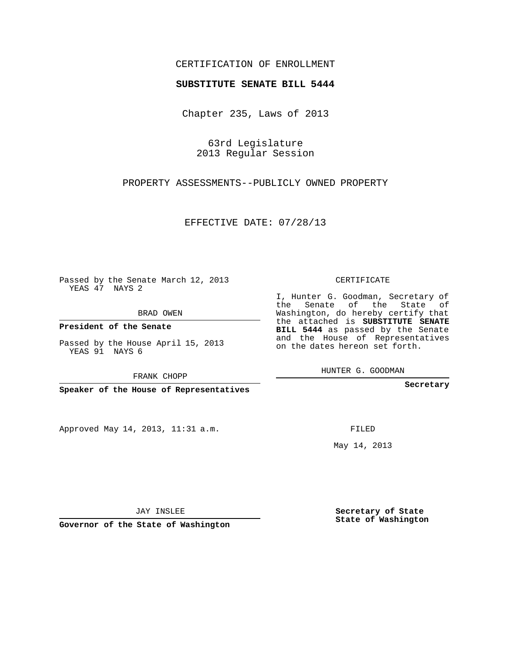### CERTIFICATION OF ENROLLMENT

### **SUBSTITUTE SENATE BILL 5444**

Chapter 235, Laws of 2013

63rd Legislature 2013 Regular Session

PROPERTY ASSESSMENTS--PUBLICLY OWNED PROPERTY

EFFECTIVE DATE: 07/28/13

Passed by the Senate March 12, 2013 YEAS 47 NAYS 2

BRAD OWEN

**President of the Senate**

Passed by the House April 15, 2013 YEAS 91 NAYS 6

FRANK CHOPP

**Speaker of the House of Representatives**

Approved May 14, 2013, 11:31 a.m.

CERTIFICATE

I, Hunter G. Goodman, Secretary of the Senate of the State of Washington, do hereby certify that the attached is **SUBSTITUTE SENATE BILL 5444** as passed by the Senate and the House of Representatives on the dates hereon set forth.

HUNTER G. GOODMAN

**Secretary**

FILED

May 14, 2013

**Secretary of State State of Washington**

JAY INSLEE

**Governor of the State of Washington**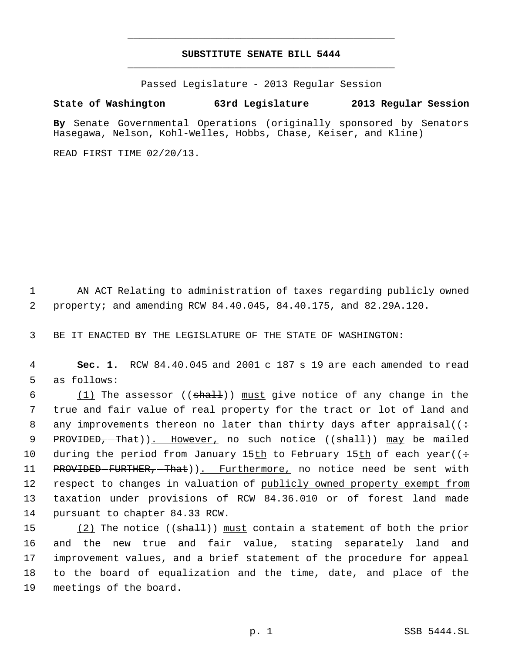# **SUBSTITUTE SENATE BILL 5444** \_\_\_\_\_\_\_\_\_\_\_\_\_\_\_\_\_\_\_\_\_\_\_\_\_\_\_\_\_\_\_\_\_\_\_\_\_\_\_\_\_\_\_\_\_

\_\_\_\_\_\_\_\_\_\_\_\_\_\_\_\_\_\_\_\_\_\_\_\_\_\_\_\_\_\_\_\_\_\_\_\_\_\_\_\_\_\_\_\_\_

Passed Legislature - 2013 Regular Session

# **State of Washington 63rd Legislature 2013 Regular Session**

**By** Senate Governmental Operations (originally sponsored by Senators Hasegawa, Nelson, Kohl-Welles, Hobbs, Chase, Keiser, and Kline)

READ FIRST TIME 02/20/13.

1 AN ACT Relating to administration of taxes regarding publicly owned 2 property; and amending RCW 84.40.045, 84.40.175, and 82.29A.120.

3 BE IT ENACTED BY THE LEGISLATURE OF THE STATE OF WASHINGTON:

 4 **Sec. 1.** RCW 84.40.045 and 2001 c 187 s 19 are each amended to read 5 as follows:

6  $(1)$  The assessor  $((shath)$  must give notice of any change in the 7 true and fair value of real property for the tract or lot of land and 8 any improvements thereon no later than thirty days after appraisal( $($ ÷ 9 PROVIDED, That)). However, no such notice ((shall)) may be mailed 10 during the period from January 15th to February 15th of each year( $($ ÷ 11 PROVIDED-FURTHER, That)). Furthermore, no notice need be sent with 12 respect to changes in valuation of publicly owned property exempt from 13 taxation under provisions of RCW 84.36.010 or of forest land made 14 pursuant to chapter 84.33 RCW.

15 (2) The notice ((<del>shall</del>)) <u>must</u> contain a statement of both the prior and the new true and fair value, stating separately land and improvement values, and a brief statement of the procedure for appeal to the board of equalization and the time, date, and place of the meetings of the board.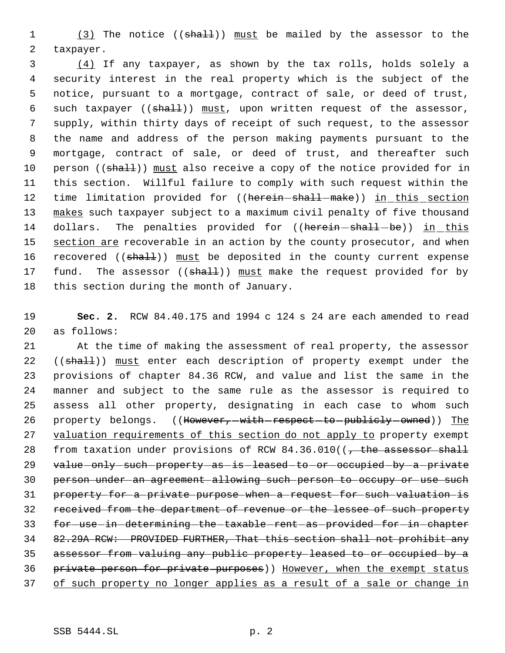1 (3) The notice ((shall)) must be mailed by the assessor to the 2 taxpayer.

 3 (4) If any taxpayer, as shown by the tax rolls, holds solely a 4 security interest in the real property which is the subject of the 5 notice, pursuant to a mortgage, contract of sale, or deed of trust, 6 such taxpayer ((shall)) must, upon written request of the assessor, 7 supply, within thirty days of receipt of such request, to the assessor 8 the name and address of the person making payments pursuant to the 9 mortgage, contract of sale, or deed of trust, and thereafter such 10 person ((shall)) must also receive a copy of the notice provided for in 11 this section. Willful failure to comply with such request within the 12 time limitation provided for ((herein-shall-make)) in this section 13 makes such taxpayer subject to a maximum civil penalty of five thousand 14 dollars. The penalties provided for ((herein-shall-be)) in this 15 section are recoverable in an action by the county prosecutor, and when 16 recovered ((shall)) must be deposited in the county current expense 17 fund. The assessor ((shall)) must make the request provided for by 18 this section during the month of January.

19 **Sec. 2.** RCW 84.40.175 and 1994 c 124 s 24 are each amended to read 20 as follows:

21 At the time of making the assessment of real property, the assessor 22 ((shall)) must enter each description of property exempt under the 23 provisions of chapter 84.36 RCW, and value and list the same in the 24 manner and subject to the same rule as the assessor is required to 25 assess all other property, designating in each case to whom such 26 property belongs. ((However, with respect to publicly owned)) The 27 valuation requirements of this section do not apply to property exempt 28 from taxation under provisions of RCW 84.36.010((, the assessor shall 29 value only such property as is leased to or occupied by a private 30 person under an agreement allowing such person to occupy or use such 31 property for a private purpose when a request for such valuation is 32 received from the department of revenue or the lessee of such property 33 for use in determining the taxable rent as provided for in chapter 34 82.29A RCW: PROVIDED FURTHER, That this section shall not prohibit any 35 assessor from valuing any public property leased to or occupied by a 36 private person for private purposes)) However, when the exempt status 37 of such property no longer applies as a result of a sale or change in